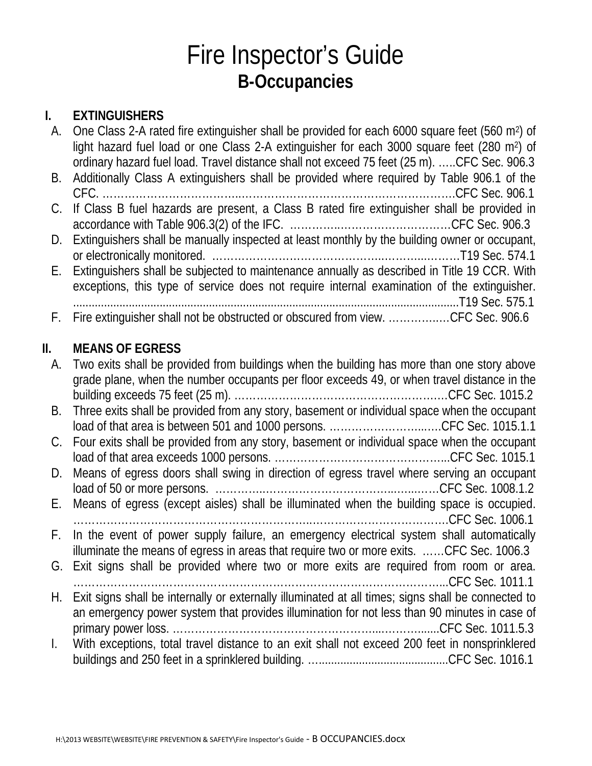# Fire Inspector's Guide **B-Occupancies**

### **I. EXTINGUISHERS**

| А.  | One Class 2-A rated fire extinguisher shall be provided for each 6000 square feet (560 m <sup>2</sup> ) of<br>light hazard fuel load or one Class 2-A extinguisher for each 3000 square feet (280 m <sup>2</sup> ) of |
|-----|-----------------------------------------------------------------------------------------------------------------------------------------------------------------------------------------------------------------------|
| В.  | ordinary hazard fuel load. Travel distance shall not exceed 75 feet (25 m). CFC Sec. 906.3<br>Additionally Class A extinguishers shall be provided where required by Table 906.1 of the                               |
| C.  | If Class B fuel hazards are present, a Class B rated fire extinguisher shall be provided in                                                                                                                           |
| D.  | Extinguishers shall be manually inspected at least monthly by the building owner or occupant,                                                                                                                         |
| Е.  | Extinguishers shall be subjected to maintenance annually as described in Title 19 CCR. With<br>exceptions, this type of service does not require internal examination of the extinguisher.                            |
| F.  | Fire extinguisher shall not be obstructed or obscured from view. CFC Sec. 906.6                                                                                                                                       |
| II. | <b>MEANS OF EGRESS</b>                                                                                                                                                                                                |
| A.  | Two exits shall be provided from buildings when the building has more than one story above<br>grade plane, when the number occupants per floor exceeds 49, or when travel distance in the                             |
| В.  | Three exits shall be provided from any story, basement or individual space when the occupant<br>load of that area is between 501 and 1000 persons. CFC Sec. 1015.1.1                                                  |
| C.  | Four exits shall be provided from any story, basement or individual space when the occupant                                                                                                                           |
| D.  | Means of egress doors shall swing in direction of egress travel where serving an occupant                                                                                                                             |
| Ε.  | Means of egress (except aisles) shall be illuminated when the building space is occupied.                                                                                                                             |
| F.  | In the event of power supply failure, an emergency electrical system shall automatically<br>illuminate the means of egress in areas that require two or more exits. CFC Sec. 1006.3                                   |
| G.  | Exit signs shall be provided where two or more exits are required from room or area.                                                                                                                                  |
| Н.  | Exit signs shall be internally or externally illuminated at all times; signs shall be connected to<br>an emergency power system that provides illumination for not less than 90 minutes in case of                    |
| I.  | With exceptions, total travel distance to an exit shall not exceed 200 feet in nonsprinklered                                                                                                                         |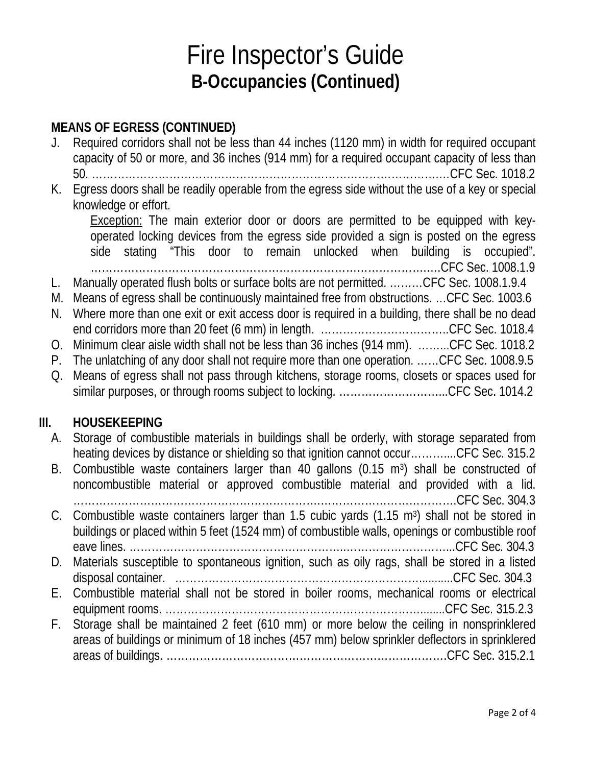# Fire Inspector's Guide **B-Occupancies (Continued)**

#### **MEANS OF EGRESS (CONTINUED)**

- J. Required corridors shall not be less than 44 inches (1120 mm) in width for required occupant capacity of 50 or more, and 36 inches (914 mm) for a required occupant capacity of less than 50. ………………………………………………………………………………….…CFC Sec. 1018.2
- K. Egress doors shall be readily operable from the egress side without the use of a key or special knowledge or effort.

Exception: The main exterior door or doors are permitted to be equipped with keyoperated locking devices from the egress side provided a sign is posted on the egress side stating "This door to remain unlocked when building is occupied". ……………………………………………………………………………….….CFC Sec. 1008.1.9

- L. Manually operated flush bolts or surface bolts are not permitted. ………CFC Sec. 1008.1.9.4
- M. Means of egress shall be continuously maintained free from obstructions. …CFC Sec. 1003.6 N. Where more than one exit or exit access door is required in a building, there shall be no dead
- end corridors more than 20 feet (6 mm) in length. ……………………………..CFC Sec. 1018.4
- O. Minimum clear aisle width shall not be less than 36 inches (914 mm). ……...CFC Sec. 1018.2
- P. The unlatching of any door shall not require more than one operation. ……CFC Sec. 1008.9.5 Q. Means of egress shall not pass through kitchens, storage rooms, closets or spaces used for
- similar purposes, or through rooms subject to locking. .................................CFC Sec. 1014.2

#### **III. HOUSEKEEPING**

- A. Storage of combustible materials in buildings shall be orderly, with storage separated from heating devices by distance or shielding so that ignition cannot occur………....CFC Sec. 315.2
- B. Combustible waste containers larger than 40 gallons (0.15 m<sup>3</sup>) shall be constructed of noncombustible material or approved combustible material and provided with a lid. ………………………………………………………….……………………………….CFC Sec. 304.3 C. Combustible waste containers larger than 1.5 cubic yards (1.15 m3) shall not be stored in buildings or placed within 5 feet (1524 mm) of combustible walls, openings or combustible roof eave lines. …………………………………………………..………………………...CFC Sec. 304.3 D. Materials susceptible to spontaneous ignition, such as oily rags, shall be stored in a listed disposal container. …………………………………………………………...........CFC Sec. 304.3 E. Combustible material shall not be stored in boiler rooms, mechanical rooms or electrical equipment rooms. ……………………………………………………………........CFC Sec. 315.2.3 F. Storage shall be maintained 2 feet (610 mm) or more below the ceiling in nonsprinklered areas of buildings or minimum of 18 inches (457 mm) below sprinkler deflectors in sprinklered areas of buildings. ………………………………………………………………….CFC Sec. 315.2.1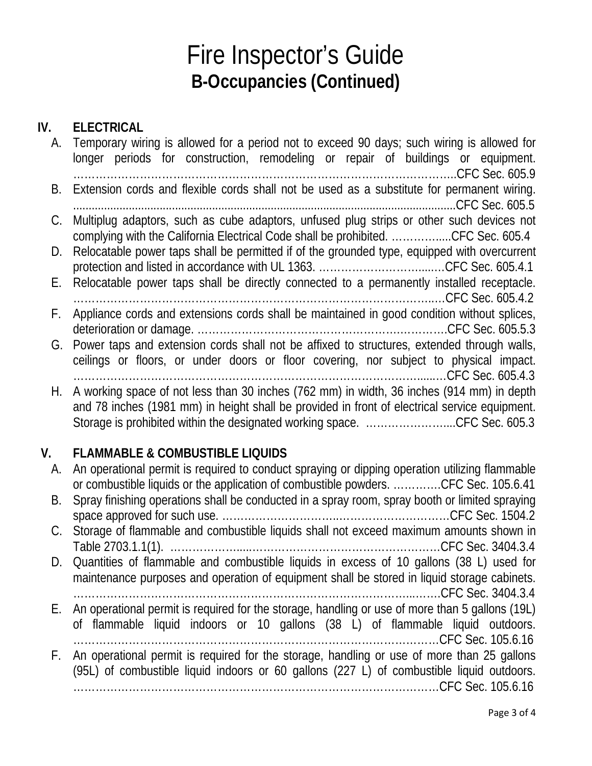# Fire Inspector's Guide **B-Occupancies (Continued)**

#### **IV. ELECTRICAL**

|    | A. Temporary wiring is allowed for a period not to exceed 90 days; such wiring is allowed for<br>longer periods for construction, remodeling or repair of buildings or equipment. |
|----|-----------------------------------------------------------------------------------------------------------------------------------------------------------------------------------|
|    |                                                                                                                                                                                   |
| В. | Extension cords and flexible cords shall not be used as a substitute for permanent wiring.                                                                                        |
|    |                                                                                                                                                                                   |
| C. | Multiplug adaptors, such as cube adaptors, unfused plug strips or other such devices not                                                                                          |
|    | complying with the California Electrical Code shall be prohibited. CFC Sec. 605.4                                                                                                 |
| D. | Relocatable power taps shall be permitted if of the grounded type, equipped with overcurrent                                                                                      |
|    |                                                                                                                                                                                   |
|    | E. Relocatable power taps shall be directly connected to a permanently installed receptacle.                                                                                      |
|    |                                                                                                                                                                                   |
| F. | Appliance cords and extensions cords shall be maintained in good condition without splices,                                                                                       |
|    |                                                                                                                                                                                   |
|    | G. Power taps and extension cords shall not be affixed to structures, extended through walls,                                                                                     |
|    | ceilings or floors, or under doors or floor covering, nor subject to physical impact.                                                                                             |
|    |                                                                                                                                                                                   |
| Н. | A working space of not less than 30 inches (762 mm) in width, 36 inches (914 mm) in depth                                                                                         |
|    | and 78 inches (1981 mm) in height shall be provided in front of electrical service equipment.                                                                                     |
|    | Storage is prohibited within the designated working space. CFC Sec. 605.3                                                                                                         |
|    |                                                                                                                                                                                   |

### **V. FLAMMABLE & COMBUSTIBLE LIQUIDS**

|    | A. An operational permit is required to conduct spraying or dipping operation utilizing flammable<br>or combustible liquids or the application of combustible powders. CFC Sec. 105.6.41 |
|----|------------------------------------------------------------------------------------------------------------------------------------------------------------------------------------------|
| В. | Spray finishing operations shall be conducted in a spray room, spray booth or limited spraying                                                                                           |
|    |                                                                                                                                                                                          |
|    | C. Storage of flammable and combustible liquids shall not exceed maximum amounts shown in                                                                                                |
|    |                                                                                                                                                                                          |
|    | D. Quantities of flammable and combustible liquids in excess of 10 gallons (38 L) used for                                                                                               |
|    | maintenance purposes and operation of equipment shall be stored in liquid storage cabinets.                                                                                              |
|    |                                                                                                                                                                                          |
|    | E. An operational permit is required for the storage, handling or use of more than 5 gallons (19L)                                                                                       |
|    | of flammable liquid indoors or 10 gallons (38 L) of flammable liquid outdoors.                                                                                                           |
|    |                                                                                                                                                                                          |
| F. | An operational permit is required for the storage, handling or use of more than 25 gallons                                                                                               |
|    | (95L) of combustible liquid indoors or 60 gallons (227 L) of combustible liquid outdoors.                                                                                                |
|    |                                                                                                                                                                                          |
|    |                                                                                                                                                                                          |
|    |                                                                                                                                                                                          |